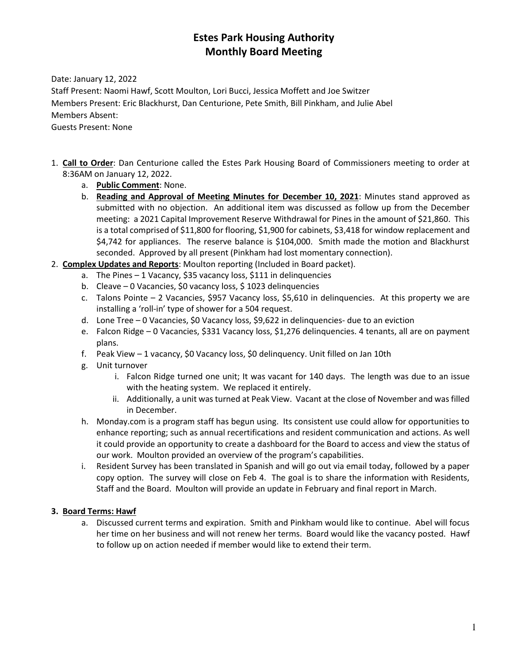# **Estes Park Housing Authority Monthly Board Meeting**

Date: January 12, 2022

Staff Present: Naomi Hawf, Scott Moulton, Lori Bucci, Jessica Moffett and Joe Switzer Members Present: Eric Blackhurst, Dan Centurione, Pete Smith, Bill Pinkham, and Julie Abel Members Absent: Guests Present: None

- 1. **Call to Order**: Dan Centurione called the Estes Park Housing Board of Commissioners meeting to order at 8:36AM on January 12, 2022.
	- a. **Public Comment**: None.
	- b. **Reading and Approval of Meeting Minutes for December 10, 2021**: Minutes stand approved as submitted with no objection. An additional item was discussed as follow up from the December meeting: a 2021 Capital Improvement Reserve Withdrawal for Pines in the amount of \$21,860. This is a total comprised of \$11,800 for flooring, \$1,900 for cabinets, \$3,418 for window replacement and \$4,742 for appliances. The reserve balance is \$104,000. Smith made the motion and Blackhurst seconded. Approved by all present (Pinkham had lost momentary connection).
- 2. **Complex Updates and Reports**: Moulton reporting (Included in Board packet).
	- a. The Pines 1 Vacancy, \$35 vacancy loss, \$111 in delinquencies
	- b. Cleave 0 Vacancies, \$0 vacancy loss, \$ 1023 delinquencies
	- c. Talons Pointe 2 Vacancies, \$957 Vacancy loss, \$5,610 in delinquencies. At this property we are installing a 'roll-in' type of shower for a 504 request.
	- d. Lone Tree 0 Vacancies, \$0 Vacancy loss, \$9,622 in delinquencies- due to an eviction
	- e. Falcon Ridge 0 Vacancies, \$331 Vacancy loss, \$1,276 delinquencies. 4 tenants, all are on payment plans.
	- f. Peak View 1 vacancy, \$0 Vacancy loss, \$0 delinquency. Unit filled on Jan 10th
	- g. Unit turnover
		- i. Falcon Ridge turned one unit; It was vacant for 140 days. The length was due to an issue with the heating system. We replaced it entirely.
		- ii. Additionally, a unit was turned at Peak View. Vacant at the close of November and was filled in December.
	- h. Monday.com is a program staff has begun using. Its consistent use could allow for opportunities to enhance reporting; such as annual recertifications and resident communication and actions. As well it could provide an opportunity to create a dashboard for the Board to access and view the status of our work. Moulton provided an overview of the program's capabilities.
	- i. Resident Survey has been translated in Spanish and will go out via email today, followed by a paper copy option. The survey will close on Feb 4. The goal is to share the information with Residents, Staff and the Board. Moulton will provide an update in February and final report in March.

### **3. Board Terms: Hawf**

a. Discussed current terms and expiration. Smith and Pinkham would like to continue. Abel will focus her time on her business and will not renew her terms. Board would like the vacancy posted. Hawf to follow up on action needed if member would like to extend their term.